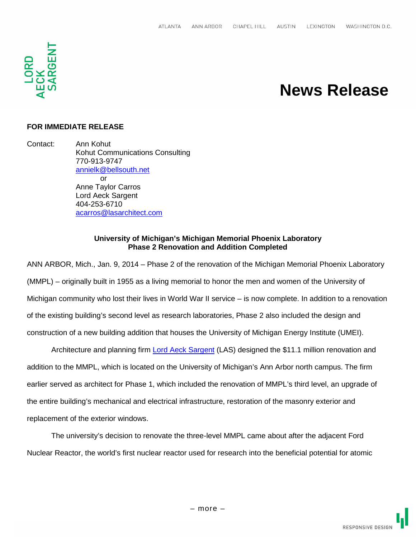

# **News Release**

## **FOR IMMEDIATE RELEASE**

Contact: Ann Kohut Kohut Communications Consulting 770-913-9747 annielk@bellsouth.net or Anne Taylor Carros Lord Aeck Sargent 404-253-6710 acarros@lasarchitect.com

#### **University of Michigan's Michigan Memorial Phoenix Laboratory Phase 2 Renovation and Addition Completed**

ANN ARBOR, Mich., Jan. 9, 2014 – Phase 2 of the renovation of the Michigan Memorial Phoenix Laboratory (MMPL) – originally built in 1955 as a living memorial to honor the men and women of the University of Michigan community who lost their lives in World War II service – is now complete. In addition to a renovation of the existing building's second level as research laboratories, Phase 2 also included the design and construction of a new building addition that houses the University of Michigan Energy Institute (UMEI).

Architecture and planning firm **Lord Aeck Sargent (LAS)** designed the \$11.1 million renovation and addition to the MMPL, which is located on the University of Michigan's Ann Arbor north campus. The firm earlier served as architect for Phase 1, which included the renovation of MMPL's third level, an upgrade of the entire building's mechanical and electrical infrastructure, restoration of the masonry exterior and replacement of the exterior windows.

The university's decision to renovate the three-level MMPL came about after the adjacent Ford Nuclear Reactor, the world's first nuclear reactor used for research into the beneficial potential for atomic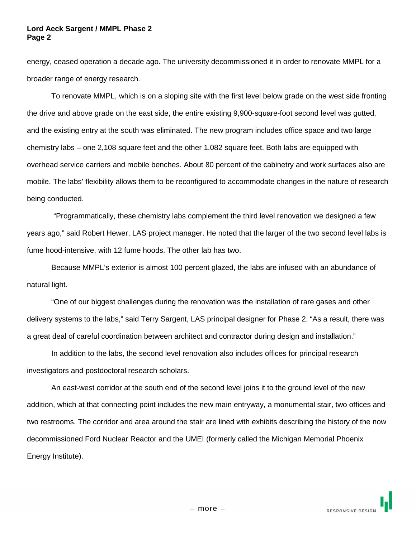#### **Lord Aeck Sargent / MMPL Phase 2 Page 2**

energy, ceased operation a decade ago. The university decommissioned it in order to renovate MMPL for a broader range of energy research.

To renovate MMPL, which is on a sloping site with the first level below grade on the west side fronting the drive and above grade on the east side, the entire existing 9,900-square-foot second level was gutted, and the existing entry at the south was eliminated. The new program includes office space and two large chemistry labs – one 2,108 square feet and the other 1,082 square feet. Both labs are equipped with overhead service carriers and mobile benches. About 80 percent of the cabinetry and work surfaces also are mobile. The labs' flexibility allows them to be reconfigured to accommodate changes in the nature of research being conducted.

"Programmatically, these chemistry labs complement the third level renovation we designed a few years ago," said Robert Hewer, LAS project manager. He noted that the larger of the two second level labs is fume hood-intensive, with 12 fume hoods. The other lab has two.

Because MMPL's exterior is almost 100 percent glazed, the labs are infused with an abundance of natural light.

"One of our biggest challenges during the renovation was the installation of rare gases and other delivery systems to the labs," said Terry Sargent, LAS principal designer for Phase 2. "As a result, there was a great deal of careful coordination between architect and contractor during design and installation."

In addition to the labs, the second level renovation also includes offices for principal research investigators and postdoctoral research scholars.

An east-west corridor at the south end of the second level joins it to the ground level of the new addition, which at that connecting point includes the new main entryway, a monumental stair, two offices and two restrooms. The corridor and area around the stair are lined with exhibits describing the history of the now decommissioned Ford Nuclear Reactor and the UMEI (formerly called the Michigan Memorial Phoenix Energy Institute).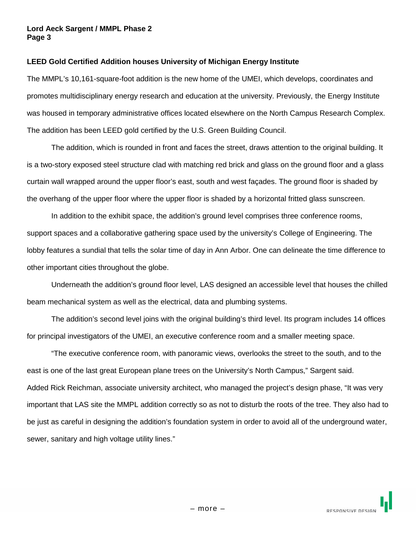#### **Lord Aeck Sargent / MMPL Phase 2 Page 3**

### **LEED Gold Certified Addition houses University of Michigan Energy Institute**

The MMPL's 10,161-square-foot addition is the new home of the UMEI, which develops, coordinates and promotes multidisciplinary energy research and education at the university. Previously, the Energy Institute was housed in temporary administrative offices located elsewhere on the North Campus Research Complex. The addition has been LEED gold certified by the U.S. Green Building Council.

The addition, which is rounded in front and faces the street, draws attention to the original building. It is a two-story exposed steel structure clad with matching red brick and glass on the ground floor and a glass curtain wall wrapped around the upper floor's east, south and west façades. The ground floor is shaded by the overhang of the upper floor where the upper floor is shaded by a horizontal fritted glass sunscreen.

In addition to the exhibit space, the addition's ground level comprises three conference rooms, support spaces and a collaborative gathering space used by the university's College of Engineering. The lobby features a sundial that tells the solar time of day in Ann Arbor. One can delineate the time difference to other important cities throughout the globe.

Underneath the addition's ground floor level, LAS designed an accessible level that houses the chilled beam mechanical system as well as the electrical, data and plumbing systems.

The addition's second level joins with the original building's third level. Its program includes 14 offices for principal investigators of the UMEI, an executive conference room and a smaller meeting space.

"The executive conference room, with panoramic views, overlooks the street to the south, and to the east is one of the last great European plane trees on the University's North Campus," Sargent said. Added Rick Reichman, associate university architect, who managed the project's design phase, "It was very important that LAS site the MMPL addition correctly so as not to disturb the roots of the tree. They also had to be just as careful in designing the addition's foundation system in order to avoid all of the underground water, sewer, sanitary and high voltage utility lines."